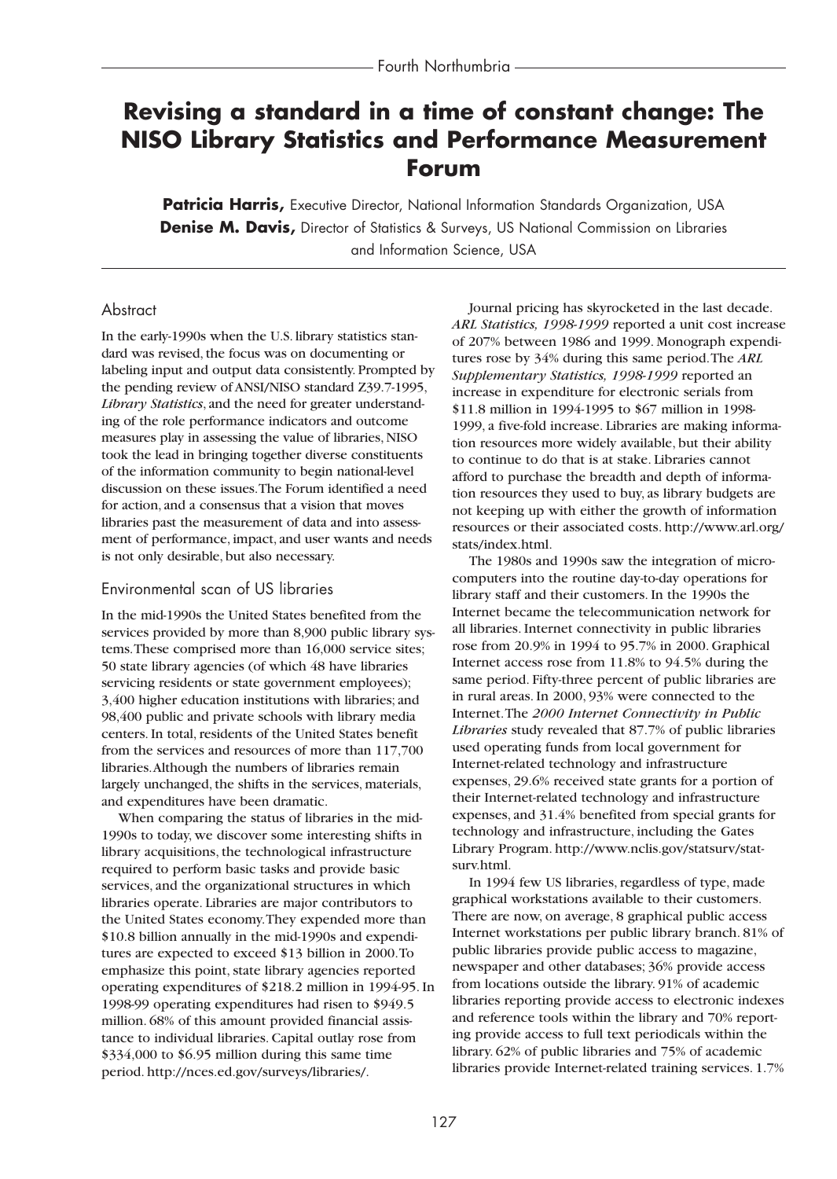# **Revising a standard in a time of constant change: The NISO Library Statistics and Performance Measurement Forum**

**Patricia Harris,** Executive Director, National Information Standards Organization, USA **Denise M. Davis,** Director of Statistics & Surveys, US National Commission on Libraries and Information Science, USA

#### Abstract

In the early-1990s when the U.S. library statistics standard was revised, the focus was on documenting or labeling input and output data consistently. Prompted by the pending review of ANSI/NISO standard Z39.7-1995, *Library Statistics*, and the need for greater understanding of the role performance indicators and outcome measures play in assessing the value of libraries, NISO took the lead in bringing together diverse constituents of the information community to begin national-level discussion on these issues.The Forum identified a need for action, and a consensus that a vision that moves libraries past the measurement of data and into assessment of performance, impact, and user wants and needs is not only desirable, but also necessary.

#### Environmental scan of US libraries

In the mid-1990s the United States benefited from the services provided by more than 8,900 public library systems.These comprised more than 16,000 service sites; 50 state library agencies (of which 48 have libraries servicing residents or state government employees); 3,400 higher education institutions with libraries; and 98,400 public and private schools with library media centers. In total, residents of the United States benefit from the services and resources of more than 117,700 libraries.Although the numbers of libraries remain largely unchanged, the shifts in the services, materials, and expenditures have been dramatic.

When comparing the status of libraries in the mid-1990s to today, we discover some interesting shifts in library acquisitions, the technological infrastructure required to perform basic tasks and provide basic services, and the organizational structures in which libraries operate. Libraries are major contributors to the United States economy.They expended more than \$10.8 billion annually in the mid-1990s and expenditures are expected to exceed \$13 billion in 2000.To emphasize this point, state library agencies reported operating expenditures of \$218.2 million in 1994-95. In 1998-99 operating expenditures had risen to \$949.5 million. 68% of this amount provided financial assistance to individual libraries. Capital outlay rose from \$334,000 to \$6.95 million during this same time period. http://nces.ed.gov/surveys/libraries/.

Journal pricing has skyrocketed in the last decade. *ARL Statistics, 1998-1999* reported a unit cost increase of 207% between 1986 and 1999. Monograph expenditures rose by 34% during this same period.The *ARL Supplementary Statistics, 1998-1999* reported an increase in expenditure for electronic serials from \$11.8 million in 1994-1995 to \$67 million in 1998- 1999, a five-fold increase. Libraries are making information resources more widely available, but their ability to continue to do that is at stake. Libraries cannot afford to purchase the breadth and depth of information resources they used to buy, as library budgets are not keeping up with either the growth of information resources or their associated costs. http://www.arl.org/ stats/index.html.

The 1980s and 1990s saw the integration of microcomputers into the routine day-to-day operations for library staff and their customers. In the 1990s the Internet became the telecommunication network for all libraries. Internet connectivity in public libraries rose from 20.9% in 1994 to 95.7% in 2000. Graphical Internet access rose from 11.8% to 94.5% during the same period. Fifty-three percent of public libraries are in rural areas. In 2000, 93% were connected to the Internet.The *2000 Internet Connectivity in Public Libraries* study revealed that 87.7% of public libraries used operating funds from local government for Internet-related technology and infrastructure expenses, 29.6% received state grants for a portion of their Internet-related technology and infrastructure expenses, and 31.4% benefited from special grants for technology and infrastructure, including the Gates Library Program. http://www.nclis.gov/statsurv/statsurv.html.

In 1994 few US libraries, regardless of type, made graphical workstations available to their customers. There are now, on average, 8 graphical public access Internet workstations per public library branch. 81% of public libraries provide public access to magazine, newspaper and other databases; 36% provide access from locations outside the library. 91% of academic libraries reporting provide access to electronic indexes and reference tools within the library and 70% reporting provide access to full text periodicals within the library. 62% of public libraries and 75% of academic libraries provide Internet-related training services. 1.7%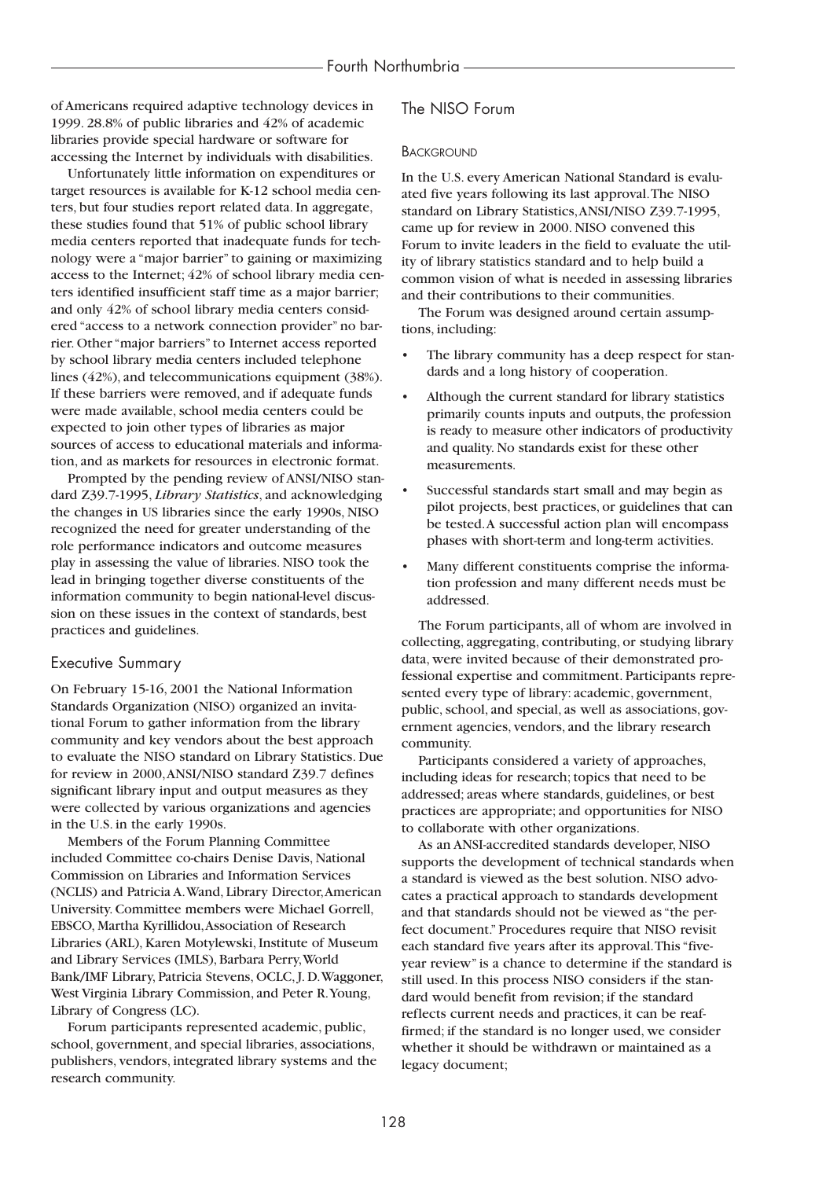of Americans required adaptive technology devices in 1999. 28.8% of public libraries and 42% of academic libraries provide special hardware or software for accessing the Internet by individuals with disabilities.

Unfortunately little information on expenditures or target resources is available for K-12 school media centers, but four studies report related data. In aggregate, these studies found that 51% of public school library media centers reported that inadequate funds for technology were a "major barrier" to gaining or maximizing access to the Internet; 42% of school library media centers identified insufficient staff time as a major barrier; and only 42% of school library media centers considered "access to a network connection provider" no barrier. Other "major barriers" to Internet access reported by school library media centers included telephone lines (42%), and telecommunications equipment (38%). If these barriers were removed, and if adequate funds were made available, school media centers could be expected to join other types of libraries as major sources of access to educational materials and information, and as markets for resources in electronic format.

Prompted by the pending review of ANSI/NISO standard Z39.7-1995, *Library Statistics*, and acknowledging the changes in US libraries since the early 1990s, NISO recognized the need for greater understanding of the role performance indicators and outcome measures play in assessing the value of libraries. NISO took the lead in bringing together diverse constituents of the information community to begin national-level discussion on these issues in the context of standards, best practices and guidelines.

#### Executive Summary

On February 15-16, 2001 the National Information Standards Organization (NISO) organized an invitational Forum to gather information from the library community and key vendors about the best approach to evaluate the NISO standard on Library Statistics. Due for review in 2000,ANSI/NISO standard Z39.7 defines significant library input and output measures as they were collected by various organizations and agencies in the U.S. in the early 1990s.

Members of the Forum Planning Committee included Committee co-chairs Denise Davis, National Commission on Libraries and Information Services (NCLIS) and Patricia A.Wand, Library Director,American University. Committee members were Michael Gorrell, EBSCO, Martha Kyrillidou,Association of Research Libraries (ARL), Karen Motylewski, Institute of Museum and Library Services (IMLS), Barbara Perry,World Bank/IMF Library, Patricia Stevens, OCLC, J. D.Waggoner, West Virginia Library Commission, and Peter R.Young, Library of Congress (LC).

Forum participants represented academic, public, school, government, and special libraries, associations, publishers, vendors, integrated library systems and the research community.

### The NISO Forum

#### **BACKGROUND**

In the U.S. every American National Standard is evaluated five years following its last approval.The NISO standard on Library Statistics,ANSI/NISO Z39.7-1995, came up for review in 2000. NISO convened this Forum to invite leaders in the field to evaluate the utility of library statistics standard and to help build a common vision of what is needed in assessing libraries and their contributions to their communities.

The Forum was designed around certain assumptions, including:

- The library community has a deep respect for standards and a long history of cooperation.
- Although the current standard for library statistics primarily counts inputs and outputs, the profession is ready to measure other indicators of productivity and quality. No standards exist for these other measurements.
- Successful standards start small and may begin as pilot projects, best practices, or guidelines that can be tested.A successful action plan will encompass phases with short-term and long-term activities.
- Many different constituents comprise the information profession and many different needs must be addressed.

The Forum participants, all of whom are involved in collecting, aggregating, contributing, or studying library data, were invited because of their demonstrated professional expertise and commitment. Participants represented every type of library: academic, government, public, school, and special, as well as associations, government agencies, vendors, and the library research community.

Participants considered a variety of approaches, including ideas for research; topics that need to be addressed; areas where standards, guidelines, or best practices are appropriate; and opportunities for NISO to collaborate with other organizations.

As an ANSI-accredited standards developer, NISO supports the development of technical standards when a standard is viewed as the best solution. NISO advocates a practical approach to standards development and that standards should not be viewed as "the perfect document." Procedures require that NISO revisit each standard five years after its approval.This "fiveyear review" is a chance to determine if the standard is still used. In this process NISO considers if the standard would benefit from revision; if the standard reflects current needs and practices, it can be reaffirmed; if the standard is no longer used, we consider whether it should be withdrawn or maintained as a legacy document;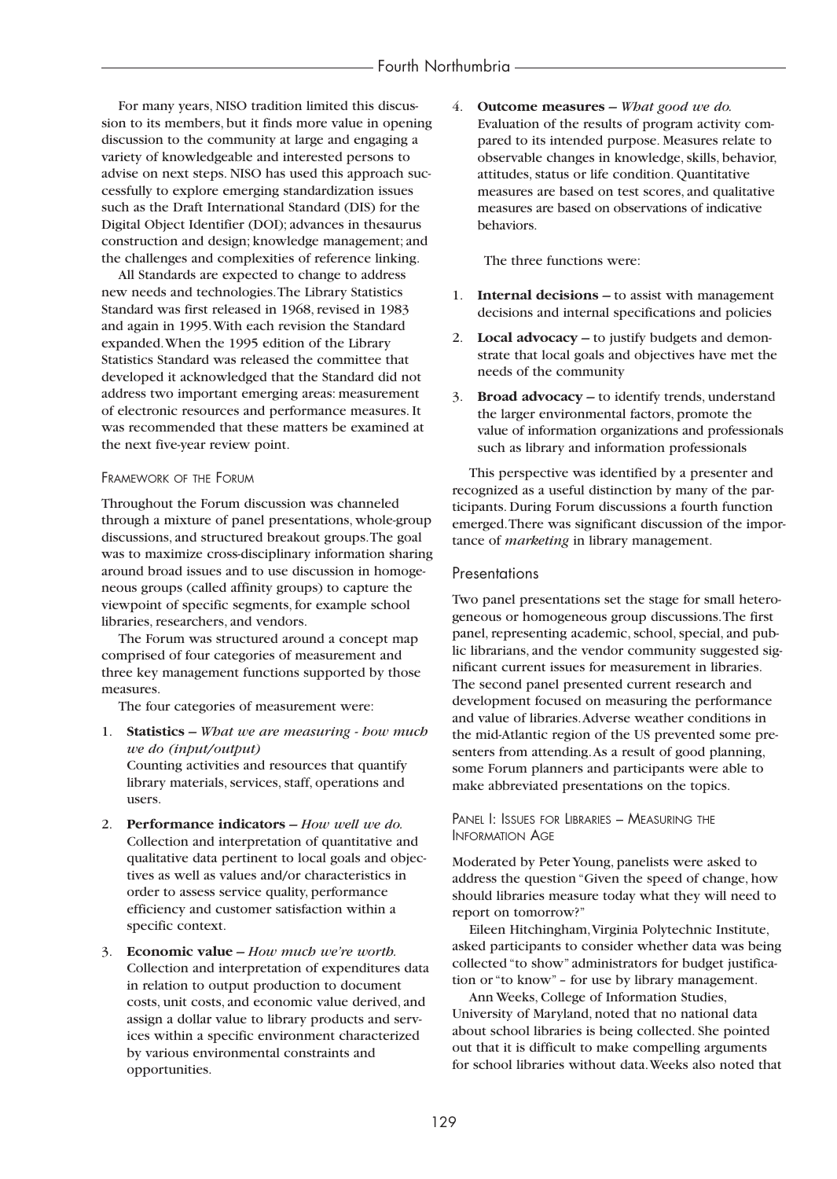For many years, NISO tradition limited this discussion to its members, but it finds more value in opening discussion to the community at large and engaging a variety of knowledgeable and interested persons to advise on next steps. NISO has used this approach successfully to explore emerging standardization issues such as the Draft International Standard (DIS) for the Digital Object Identifier (DOI); advances in thesaurus construction and design; knowledge management; and the challenges and complexities of reference linking.

All Standards are expected to change to address new needs and technologies.The Library Statistics Standard was first released in 1968, revised in 1983 and again in 1995.With each revision the Standard expanded.When the 1995 edition of the Library Statistics Standard was released the committee that developed it acknowledged that the Standard did not address two important emerging areas: measurement of electronic resources and performance measures. It was recommended that these matters be examined at the next five-year review point.

#### FRAMEWORK OF THE FORUM

Throughout the Forum discussion was channeled through a mixture of panel presentations, whole-group discussions, and structured breakout groups.The goal was to maximize cross-disciplinary information sharing around broad issues and to use discussion in homogeneous groups (called affinity groups) to capture the viewpoint of specific segments, for example school libraries, researchers, and vendors.

The Forum was structured around a concept map comprised of four categories of measurement and three key management functions supported by those measures.

The four categories of measurement were:

- 1. **Statistics –** *What we are measuring how much we do (input/output)* Counting activities and resources that quantify library materials, services, staff, operations and users.
- 2. **Performance indicators –** *How well we do.* Collection and interpretation of quantitative and qualitative data pertinent to local goals and objectives as well as values and/or characteristics in order to assess service quality, performance efficiency and customer satisfaction within a specific context.
- 3. **Economic value –** *How much we're worth.* Collection and interpretation of expenditures data in relation to output production to document costs, unit costs, and economic value derived, and assign a dollar value to library products and services within a specific environment characterized by various environmental constraints and opportunities.

4. **Outcome measures –** *What good we do.* Evaluation of the results of program activity compared to its intended purpose. Measures relate to observable changes in knowledge, skills, behavior, attitudes, status or life condition. Quantitative measures are based on test scores, and qualitative measures are based on observations of indicative behaviors.

The three functions were:

- 1. **Internal decisions –** to assist with management decisions and internal specifications and policies
- 2. **Local advocacy –** to justify budgets and demonstrate that local goals and objectives have met the needs of the community
- 3. **Broad advocacy –** to identify trends, understand the larger environmental factors, promote the value of information organizations and professionals such as library and information professionals

This perspective was identified by a presenter and recognized as a useful distinction by many of the participants. During Forum discussions a fourth function emerged.There was significant discussion of the importance of *marketing* in library management.

#### **Presentations**

Two panel presentations set the stage for small heterogeneous or homogeneous group discussions.The first panel, representing academic, school, special, and public librarians, and the vendor community suggested significant current issues for measurement in libraries. The second panel presented current research and development focused on measuring the performance and value of libraries.Adverse weather conditions in the mid-Atlantic region of the US prevented some presenters from attending.As a result of good planning, some Forum planners and participants were able to make abbreviated presentations on the topics.

#### PANEL I: ISSUES FOR LIBRARIES - MEASURING THE INFORMATION AGE

Moderated by Peter Young, panelists were asked to address the question "Given the speed of change, how should libraries measure today what they will need to report on tomorrow?"

Eileen Hitchingham,Virginia Polytechnic Institute, asked participants to consider whether data was being collected "to show" administrators for budget justification or "to know" – for use by library management.

Ann Weeks, College of Information Studies, University of Maryland, noted that no national data about school libraries is being collected. She pointed out that it is difficult to make compelling arguments for school libraries without data.Weeks also noted that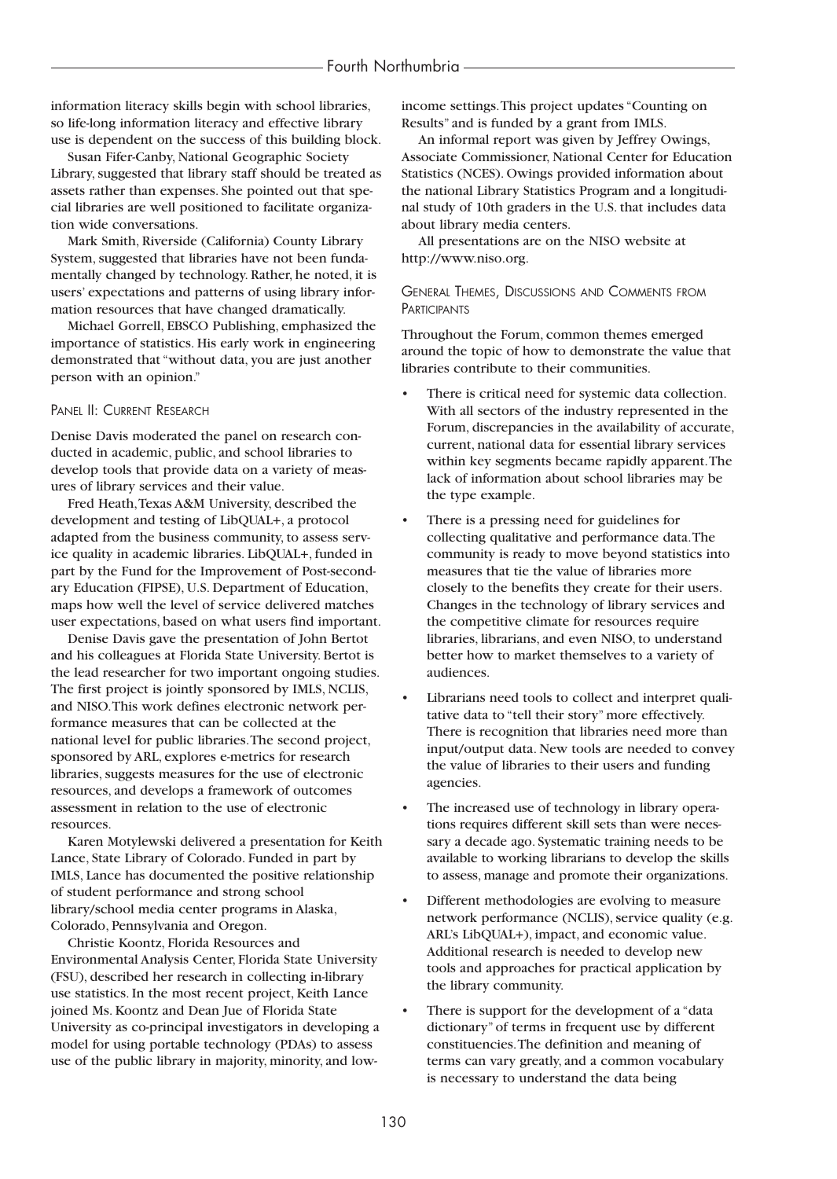information literacy skills begin with school libraries, so life-long information literacy and effective library use is dependent on the success of this building block.

Susan Fifer-Canby, National Geographic Society Library, suggested that library staff should be treated as assets rather than expenses. She pointed out that special libraries are well positioned to facilitate organization wide conversations.

Mark Smith, Riverside (California) County Library System, suggested that libraries have not been fundamentally changed by technology. Rather, he noted, it is users' expectations and patterns of using library information resources that have changed dramatically.

Michael Gorrell, EBSCO Publishing, emphasized the importance of statistics. His early work in engineering demonstrated that "without data, you are just another person with an opinion."

#### PANEL II: CURRENT RESEARCH

Denise Davis moderated the panel on research conducted in academic, public, and school libraries to develop tools that provide data on a variety of measures of library services and their value.

Fred Heath,Texas A&M University, described the development and testing of LibQUAL+, a protocol adapted from the business community, to assess service quality in academic libraries. LibQUAL+, funded in part by the Fund for the Improvement of Post-secondary Education (FIPSE), U.S. Department of Education, maps how well the level of service delivered matches user expectations, based on what users find important.

Denise Davis gave the presentation of John Bertot and his colleagues at Florida State University. Bertot is the lead researcher for two important ongoing studies. The first project is jointly sponsored by IMLS, NCLIS, and NISO.This work defines electronic network performance measures that can be collected at the national level for public libraries.The second project, sponsored by ARL, explores e-metrics for research libraries, suggests measures for the use of electronic resources, and develops a framework of outcomes assessment in relation to the use of electronic resources.

Karen Motylewski delivered a presentation for Keith Lance, State Library of Colorado. Funded in part by IMLS, Lance has documented the positive relationship of student performance and strong school library/school media center programs in Alaska, Colorado, Pennsylvania and Oregon.

Christie Koontz, Florida Resources and Environmental Analysis Center, Florida State University (FSU), described her research in collecting in-library use statistics. In the most recent project, Keith Lance joined Ms. Koontz and Dean Jue of Florida State University as co-principal investigators in developing a model for using portable technology (PDAs) to assess use of the public library in majority, minority, and lowincome settings.This project updates "Counting on Results" and is funded by a grant from IMLS.

An informal report was given by Jeffrey Owings, Associate Commissioner, National Center for Education Statistics (NCES). Owings provided information about the national Library Statistics Program and a longitudinal study of 10th graders in the U.S. that includes data about library media centers.

All presentations are on the NISO website at http://www.niso.org.

#### GENERAL THEMES, DISCUSSIONS AND COMMENTS FROM **PARTICIPANTS**

Throughout the Forum, common themes emerged around the topic of how to demonstrate the value that libraries contribute to their communities.

- There is critical need for systemic data collection. With all sectors of the industry represented in the Forum, discrepancies in the availability of accurate, current, national data for essential library services within key segments became rapidly apparent.The lack of information about school libraries may be the type example.
- There is a pressing need for guidelines for collecting qualitative and performance data.The community is ready to move beyond statistics into measures that tie the value of libraries more closely to the benefits they create for their users. Changes in the technology of library services and the competitive climate for resources require libraries, librarians, and even NISO, to understand better how to market themselves to a variety of audiences.
- Librarians need tools to collect and interpret qualitative data to "tell their story" more effectively. There is recognition that libraries need more than input/output data. New tools are needed to convey the value of libraries to their users and funding agencies.
- The increased use of technology in library operations requires different skill sets than were necessary a decade ago. Systematic training needs to be available to working librarians to develop the skills to assess, manage and promote their organizations.
- Different methodologies are evolving to measure network performance (NCLIS), service quality (e.g. ARL's LibQUAL+), impact, and economic value. Additional research is needed to develop new tools and approaches for practical application by the library community.
- There is support for the development of a "data" dictionary" of terms in frequent use by different constituencies.The definition and meaning of terms can vary greatly, and a common vocabulary is necessary to understand the data being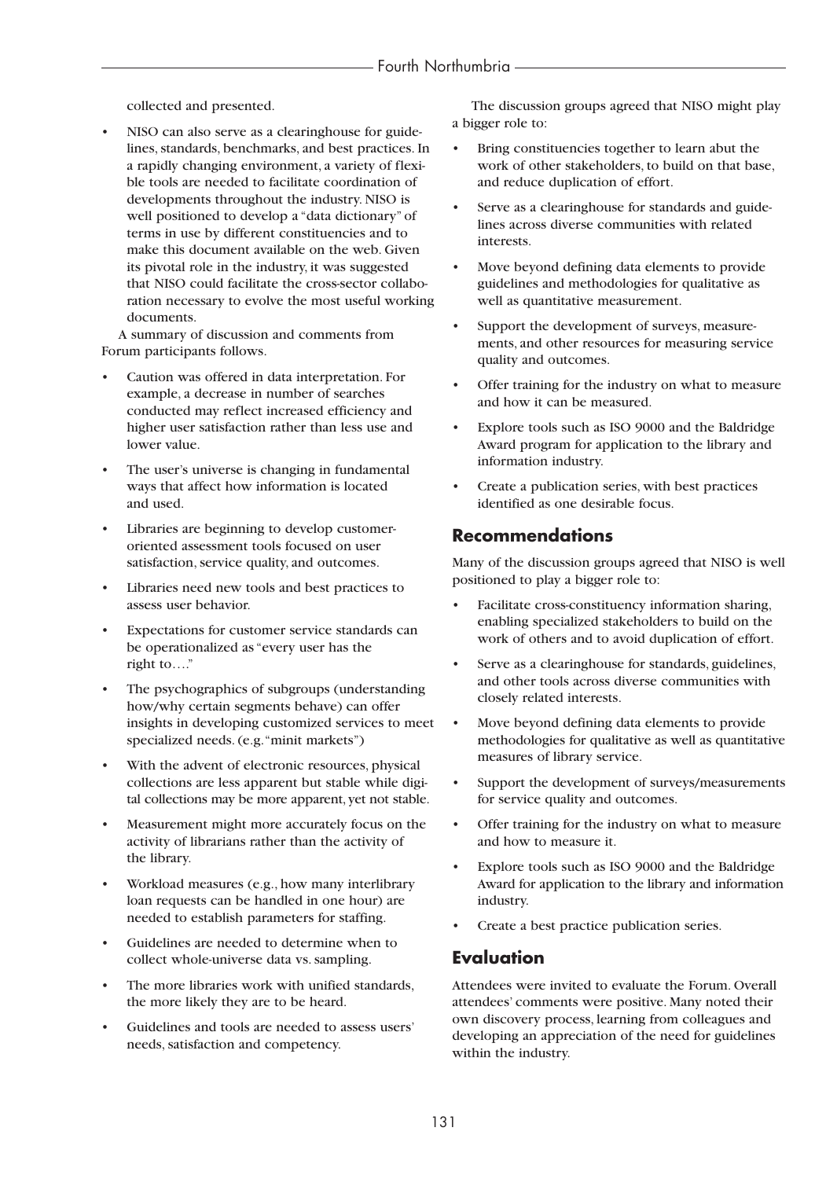collected and presented.

NISO can also serve as a clearinghouse for guidelines, standards, benchmarks, and best practices. In a rapidly changing environment, a variety of flexible tools are needed to facilitate coordination of developments throughout the industry. NISO is well positioned to develop a "data dictionary" of terms in use by different constituencies and to make this document available on the web. Given its pivotal role in the industry, it was suggested that NISO could facilitate the cross-sector collaboration necessary to evolve the most useful working documents.

A summary of discussion and comments from Forum participants follows.

- Caution was offered in data interpretation. For example, a decrease in number of searches conducted may reflect increased efficiency and higher user satisfaction rather than less use and lower value.
- The user's universe is changing in fundamental ways that affect how information is located and used.
- Libraries are beginning to develop customeroriented assessment tools focused on user satisfaction, service quality, and outcomes.
- Libraries need new tools and best practices to assess user behavior.
- Expectations for customer service standards can be operationalized as "every user has the right to…."
- The psychographics of subgroups (understanding how/why certain segments behave) can offer insights in developing customized services to meet specialized needs. (e.g."minit markets")
- With the advent of electronic resources, physical collections are less apparent but stable while digital collections may be more apparent, yet not stable.
- Measurement might more accurately focus on the activity of librarians rather than the activity of the library.
- Workload measures (e.g., how many interlibrary loan requests can be handled in one hour) are needed to establish parameters for staffing.
- Guidelines are needed to determine when to collect whole-universe data vs. sampling.
- The more libraries work with unified standards, the more likely they are to be heard.
- Guidelines and tools are needed to assess users' needs, satisfaction and competency.

The discussion groups agreed that NISO might play a bigger role to:

- Bring constituencies together to learn abut the work of other stakeholders, to build on that base, and reduce duplication of effort.
- Serve as a clearinghouse for standards and guidelines across diverse communities with related interests.
- Move beyond defining data elements to provide guidelines and methodologies for qualitative as well as quantitative measurement.
- Support the development of surveys, measurements, and other resources for measuring service quality and outcomes.
- Offer training for the industry on what to measure and how it can be measured.
- Explore tools such as ISO 9000 and the Baldridge Award program for application to the library and information industry.
- Create a publication series, with best practices identified as one desirable focus.

### **Recommendations**

Many of the discussion groups agreed that NISO is well positioned to play a bigger role to:

- Facilitate cross-constituency information sharing, enabling specialized stakeholders to build on the work of others and to avoid duplication of effort.
- Serve as a clearinghouse for standards, guidelines, and other tools across diverse communities with closely related interests.
- Move beyond defining data elements to provide methodologies for qualitative as well as quantitative measures of library service.
- Support the development of surveys/measurements for service quality and outcomes.
- Offer training for the industry on what to measure and how to measure it.
- Explore tools such as ISO 9000 and the Baldridge Award for application to the library and information industry.
- Create a best practice publication series.

## **Evaluation**

Attendees were invited to evaluate the Forum. Overall attendees' comments were positive. Many noted their own discovery process, learning from colleagues and developing an appreciation of the need for guidelines within the industry.